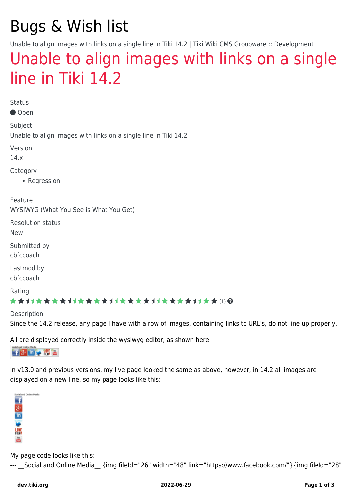# Bugs & Wish list

Unable to align images with links on a single line in Tiki 14.2 | Tiki Wiki CMS Groupware :: Development

## [Unable to align images with links on a single](https://dev.tiki.org/item5868-Unable-to-align-images-with-links-on-a-single-line-in-Tiki-14-2) [line in Tiki 14.2](https://dev.tiki.org/item5868-Unable-to-align-images-with-links-on-a-single-line-in-Tiki-14-2)

**Status** 

● Open

Subject Unable to align images with links on a single line in Tiki 14.2

Version

14.x

Category

• Regression

Feature WYSIWYG (What You See is What You Get)

Resolution status

New

Submitted by cbfccoach

Lastmod by cbfccoach

Rating

#### \*\*\*\*\*\*\*\*\*\*\*\*\*\*\*\*\*\*\*\*\*\*\*\*\*\*\*\*\*\*

Description

Since the 14.2 release, any page I have with a row of images, containing links to URL's, do not line up properly.

All are displayed correctly inside the wysiwyg editor, as shown here:

**子8-画文器画** 

In v13.0 and previous versions, my live page looked the same as above, however, in 14.2 all images are displayed on a new line, so my page looks like this:



My page code looks like this:

--- Social and Online Media {img fileId="26" width="48" link="https://www.facebook.com/"}{img fileId="28"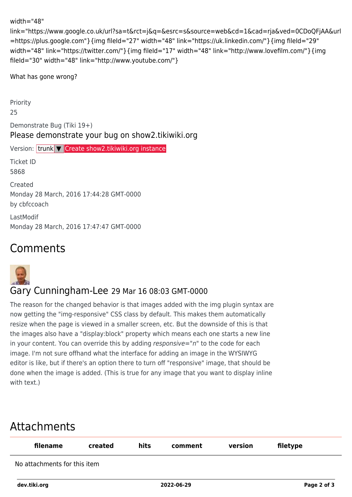#### width="48"

link="https://www.google.co.uk/url?sa=t&rct=j&q=&esrc=s&source=web&cd=1&cad=rja&ved=0CDoQFjAA&url =https://plus.google.com"}{img fileId="27" width="48" link="https://uk.linkedin.com/"}{img fileId="29" width="48" link="https://twitter.com/"} {img fileId="17" width="48" link="http://www.lovefilm.com/"} {img fileId="30" width="48" link="http://www.youtube.com/"}

What has gone wrong?

Priority

25

Demonstrate Bug (Tiki 19+) Please demonstrate your bug on show2.tikiwiki.org

Version: trunk ▼ [Create show2.tikiwiki.org instance](#page--1-0)

Ticket ID 5868

Created Monday 28 March, 2016 17:44:28 GMT-0000 by cbfccoach

LastModif Monday 28 March, 2016 17:47:47 GMT-0000

## Comments



### Gary Cunningham-Lee 29 Mar 16 08:03 GMT-0000

The reason for the changed behavior is that images added with the img plugin syntax are now getting the "img-responsive" CSS class by default. This makes them automatically resize when the page is viewed in a smaller screen, etc. But the downside of this is that the images also have a "display:block" property which means each one starts a new line in your content. You can override this by adding  $responsible="n"$  to the code for each image. I'm not sure offhand what the interface for adding an image in the WYSIWYG editor is like, but if there's an option there to turn off "responsive" image, that should be done when the image is added. (This is true for any image that you want to display inline with text.)

## Attachments

| filename                     | created | hits | comment    | version | filetype    |
|------------------------------|---------|------|------------|---------|-------------|
| No attachments for this item |         |      |            |         |             |
| dev.tiki.org                 |         |      | 2022-06-29 |         | Page 2 of 3 |